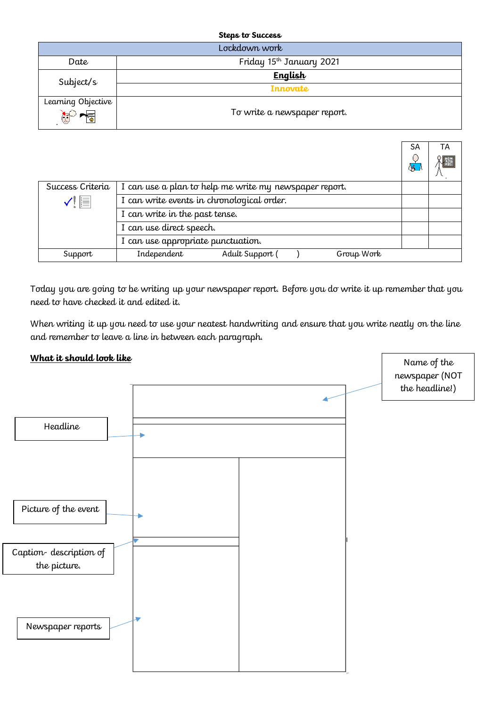| <b>Steps to Success</b>           |                                      |  |  |
|-----------------------------------|--------------------------------------|--|--|
| Lockdown work                     |                                      |  |  |
| Date                              | Friday 15 <sup>th</sup> January 2021 |  |  |
| Subject/s                         | <b>English</b>                       |  |  |
|                                   | Innovate                             |  |  |
| Learning Objective                | To write a newspaper report.         |  |  |
| $\mathbb{C}^{\circ}$ $\mathbb{C}$ |                                      |  |  |

|                  |                                                        | <b>SA</b> | ТA |
|------------------|--------------------------------------------------------|-----------|----|
|                  |                                                        | ्षु       | 爆  |
| Success Criteria | I can use a plan to help me write my newspaper report. |           |    |
| $\checkmark$ e   | I can write events in chronological order.             |           |    |
|                  | I can write in the past tense.                         |           |    |
|                  | I can use direct speech.                               |           |    |
|                  | I can use appropriate punctuation.                     |           |    |
| Support          | Independent<br>Adult Support<br>Group Work             |           |    |

Today you are going to be writing up your newspaper report. Before you do write it up remember that you need to have checked it and edited it.

When writing it up you need to use your neatest handwriting and ensure that you write neatly on the line and remember to leave a line in between each paragraph.